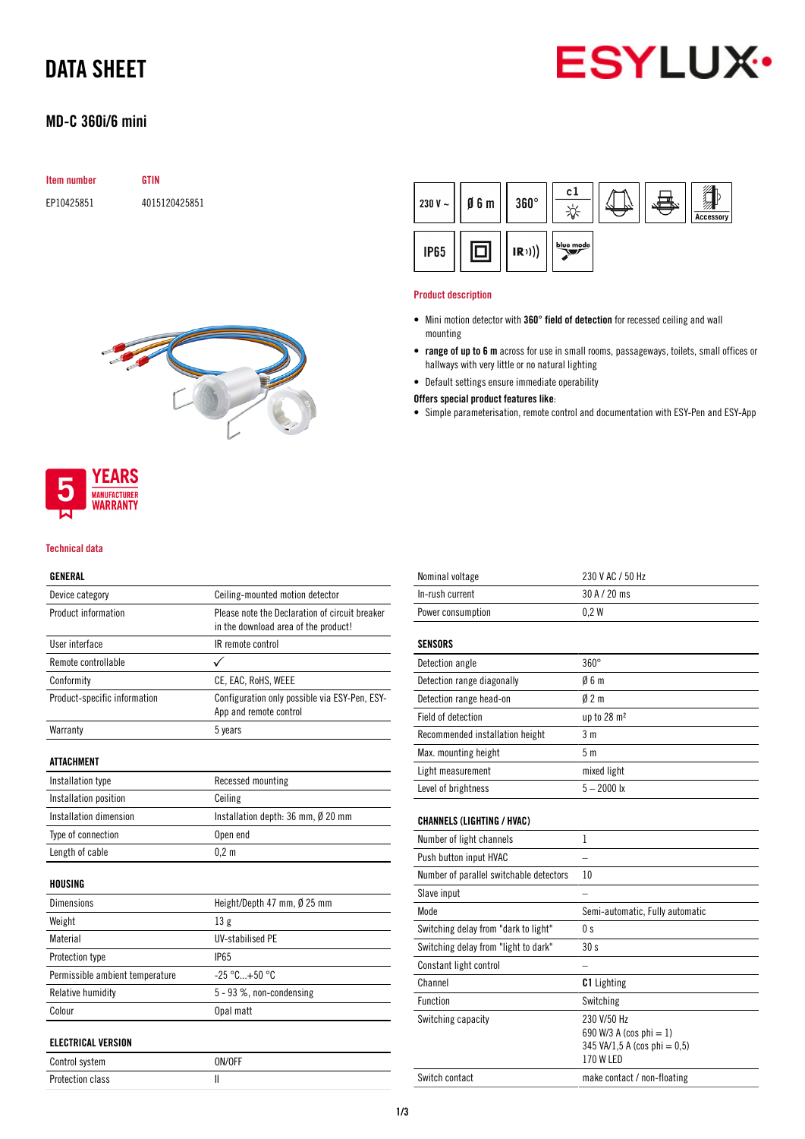# DATA SHEET

# **ESYLUX**

### MD-C 360i/6 mini

| <b>Item number</b> | GTIN          |
|--------------------|---------------|
| EP10425851         | 4015120425851 |



#### Product description

- Mini motion detector with 360° field of detection for recessed ceiling and wall mounting
- range of up to 6 m across for use in small rooms, passageways, toilets, small offices or hallways with very little or no natural lighting
- Default settings ensure immediate operability

Offers special product features like:

• Simple parameterisation, remote control and documentation with ESY-Pen and ESY-App



#### Technical data

### GENERAL

| Device category                 | Ceiling-mounted motion detector                                                        |  |
|---------------------------------|----------------------------------------------------------------------------------------|--|
| Product information             | Please note the Declaration of circuit breaker<br>in the download area of the product! |  |
| User interface                  | IR remote control                                                                      |  |
| Remote controllable             |                                                                                        |  |
| Conformity                      | CE, EAC, RoHS, WEEE                                                                    |  |
| Product-specific information    | Configuration only possible via ESY-Pen, ESY-<br>App and remote control                |  |
| Warranty                        | 5 years                                                                                |  |
| ATTACHMENT                      |                                                                                        |  |
| Installation type               | Recessed mounting                                                                      |  |
| Installation position           | Ceiling                                                                                |  |
| Installation dimension          | Installation depth: 36 mm, Ø 20 mm                                                     |  |
| Type of connection              | Open end                                                                               |  |
| Length of cable                 | 0.2 <sub>m</sub>                                                                       |  |
| <b>HOUSING</b>                  |                                                                                        |  |
| <b>Dimensions</b>               | Height/Depth 47 mm, Ø 25 mm                                                            |  |
| Weight                          | 13g                                                                                    |  |
| Material                        | <b>UV-stabilised PE</b>                                                                |  |
| Protection type                 | <b>IP65</b>                                                                            |  |
| Permissible ambient temperature | $-25 °C+50 °C$                                                                         |  |
| Relative humidity               | 5 - 93 %, non-condensing                                                               |  |
| Colour                          | Opal matt                                                                              |  |
| <b>ELECTRICAL VERSION</b>       |                                                                                        |  |
| Control system                  | ON/OFF                                                                                 |  |
| <b>Protection class</b>         | Ш                                                                                      |  |

| Nominal voltage                         | 230 V AC / 50 Hz                                                                                              |
|-----------------------------------------|---------------------------------------------------------------------------------------------------------------|
| In-rush current                         | 30 A / 20 ms                                                                                                  |
| Power consumption                       | 0.2W                                                                                                          |
| SENSORS                                 |                                                                                                               |
| Detection angle                         | $360^\circ$                                                                                                   |
| Detection range diagonally              | 06m                                                                                                           |
| Detection range head-on                 | $0/2$ m                                                                                                       |
| Field of detection                      | up to 28 m <sup>2</sup>                                                                                       |
| Recommended installation height         | 3 <sub>m</sub>                                                                                                |
| Max. mounting height                    | 5m                                                                                                            |
| Light measurement                       | mixed light                                                                                                   |
| Level of brightness                     | $5 - 2000$ lx                                                                                                 |
| <b>CHANNELS (LIGHTING / HVAC)</b>       |                                                                                                               |
| Number of light channels                | 1                                                                                                             |
| Push button input HVAC                  |                                                                                                               |
| Number of parallel switchable detectors | 10                                                                                                            |
| Slave input                             |                                                                                                               |
| Mode                                    | Semi-automatic, Fully automatic                                                                               |
| Switching delay from "dark to light"    | 0s                                                                                                            |
| Switching delay from "light to dark"    | 30 <sub>s</sub>                                                                                               |
| Constant light control                  |                                                                                                               |
| Channel                                 | <b>C1</b> Lighting                                                                                            |
| <b>Function</b>                         | Switching                                                                                                     |
| Switching capacity                      | 230 V/50 Hz<br>690 W/3 A (cos phi = 1)<br>$345 \text{ VA}/1, 5 \text{ A}$ (cos phi = 0,5)<br><b>170 W LED</b> |
| Switch contact                          | make contact / non-floating                                                                                   |
|                                         |                                                                                                               |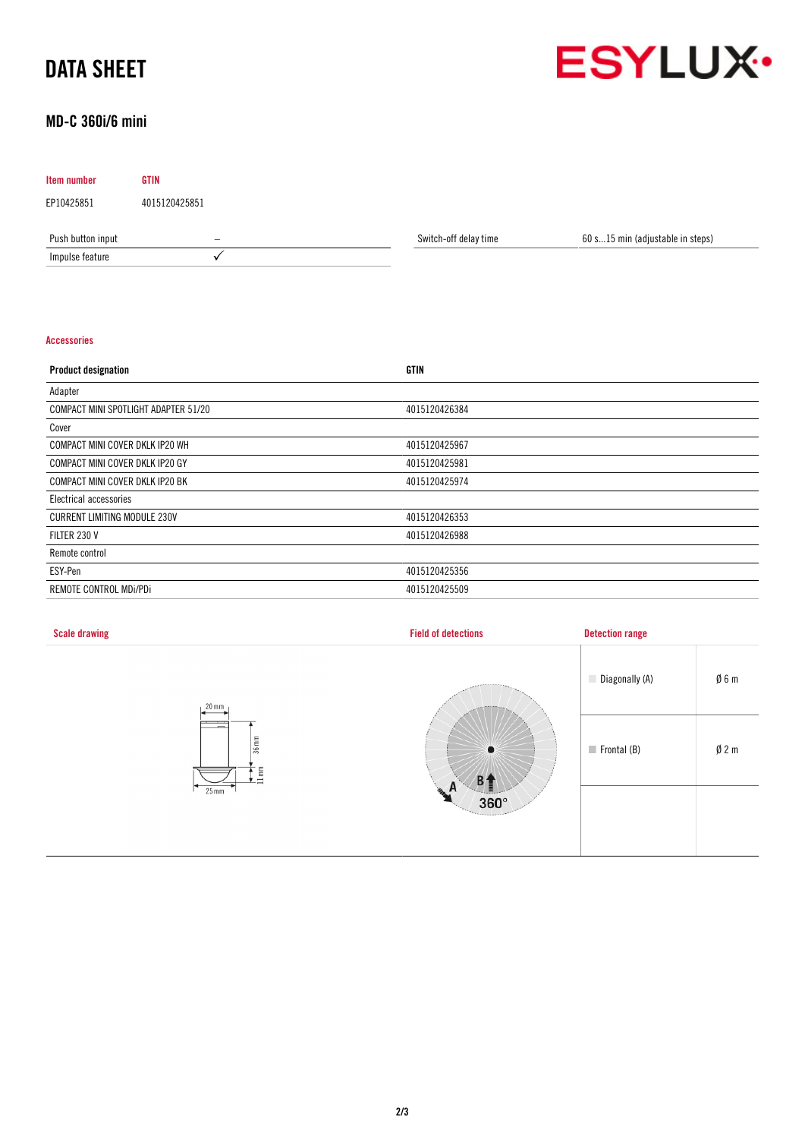# DATA SHEET



### MD-C 360i/6 mini

| <b>Item number</b> | <b>GTIN</b>   |                       |                                  |
|--------------------|---------------|-----------------------|----------------------------------|
| EP10425851         | 4015120425851 |                       |                                  |
| Push button input  | -             | Switch-off delay time | 60 s15 min (adjustable in steps) |
| Impulse feature    |               |                       |                                  |

#### Accessories

| <b>Product designation</b>           | GTIN          |
|--------------------------------------|---------------|
| Adapter                              |               |
| COMPACT MINI SPOTLIGHT ADAPTER 51/20 | 4015120426384 |
| Cover                                |               |
| COMPACT MINI COVER DKLK IP20 WH      | 4015120425967 |
| COMPACT MINI COVER DKLK IP20 GY      | 4015120425981 |
| COMPACT MINI COVER DKLK IP20 BK      | 4015120425974 |
| Electrical accessories               |               |
| <b>CURRENT LIMITING MODULE 230V</b>  | 4015120426353 |
| FILTER 230 V                         | 4015120426988 |
| Remote control                       |               |
| ESY-Pen                              | 4015120425356 |
| REMOTE CONTROL MDI/PDI               | 4015120425509 |

| <b>Scale drawing</b>                                             | <b>Field of detections</b>                    | <b>Detection range</b>                        |
|------------------------------------------------------------------|-----------------------------------------------|-----------------------------------------------|
| $20 \text{ mm}$                                                  | <b>ARRESTS</b><br>$\bullet$<br>B <sup>1</sup> | $\emptyset$ 6 m<br>Diagonally (A)             |
| $\overline{a}$<br>$36$ mm<br>lim <sub>m</sub><br>$25 \text{ mm}$ |                                               | $\emptyset$ 2 m<br>$\blacksquare$ Frontal (B) |
|                                                                  | He<br>n<br>$360^\circ$<br><b>Concerned</b>    |                                               |